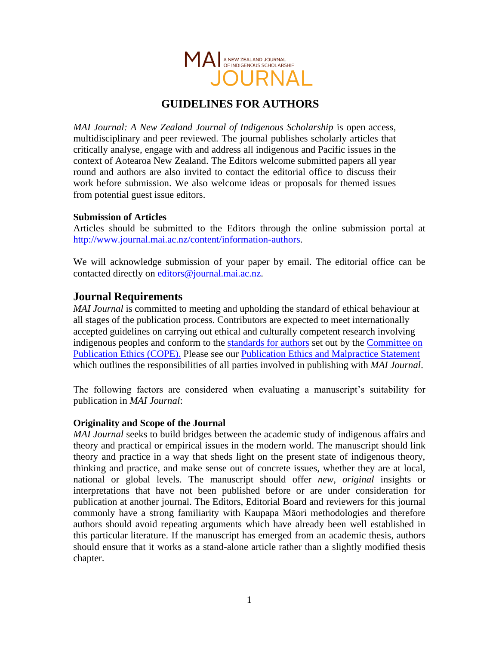

# **GUIDELINES FOR AUTHORS**

*MAI Journal: A New Zealand Journal of Indigenous Scholarship* is open access, multidisciplinary and peer reviewed. The journal publishes scholarly articles that critically analyse, engage with and address all indigenous and Pacific issues in the context of Aotearoa New Zealand. The Editors welcome submitted papers all year round and authors are also invited to contact the editorial office to discuss their work before submission. We also welcome ideas or proposals for themed issues from potential guest issue editors.

#### **Submission of Articles**

Articles should be submitted to the Editors through the online submission portal at [http://www.journal.mai.ac.nz/content/information-authors.](http://www.journal.mai.ac.nz/content/information-authors)

We will acknowledge submission of your paper by email. The editorial office can be contacted directly on [editors@journal.mai.ac.nz.](mailto:editors@journal.mai.ac.nz)

# **Journal Requirements**

*MAI Journal* is committed to meeting and upholding the standard of ethical behaviour at all stages of the publication process. Contributors are expected to meet internationally accepted guidelines on carrying out ethical and culturally competent research involving indigenous peoples and conform to the [standards for authors](http://publicationethics.org/files/International%20Stanards_Intro_for%20website_11%20Nov%2011.pdf) set out by the [Committee on](http://publicationethics.org/international-standards-editors-and-authors)  [Publication Ethics \(COPE\).](http://publicationethics.org/international-standards-editors-and-authors) Please see our [Publication Ethics and Malpractice Statement](http://www.journal.mai.ac.nz/sites/default/files/MAI%20Journal%20Publication%20Ethics%20and%20Malpractice%20Statement.pdf) which outlines the responsibilities of all parties involved in publishing with *MAI Journal*.

The following factors are considered when evaluating a manuscript's suitability for publication in *MAI Journal*:

#### **Originality and Scope of the Journal**

*MAI Journal* seeks to build bridges between the academic study of indigenous affairs and theory and practical or empirical issues in the modern world. The manuscript should link theory and practice in a way that sheds light on the present state of indigenous theory, thinking and practice, and make sense out of concrete issues, whether they are at local, national or global levels. The manuscript should offer *new*, *original* insights or interpretations that have not been published before or are under consideration for publication at another journal. The Editors, Editorial Board and reviewers for this journal commonly have a strong familiarity with Kaupapa Māori methodologies and therefore authors should avoid repeating arguments which have already been well established in this particular literature. If the manuscript has emerged from an academic thesis, authors should ensure that it works as a stand-alone article rather than a slightly modified thesis chapter.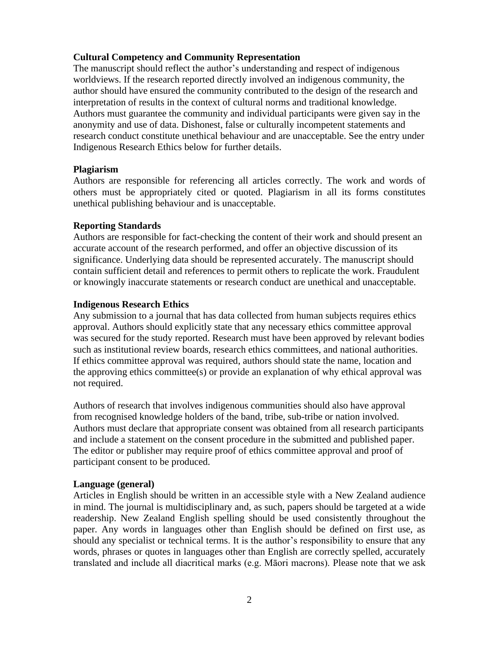#### **Cultural Competency and Community Representation**

The manuscript should reflect the author's understanding and respect of indigenous worldviews. If the research reported directly involved an indigenous community, the author should have ensured the community contributed to the design of the research and interpretation of results in the context of cultural norms and traditional knowledge. Authors must guarantee the community and individual participants were given say in the anonymity and use of data. Dishonest, false or culturally incompetent statements and research conduct constitute unethical behaviour and are unacceptable. See the entry under Indigenous Research Ethics below for further details.

#### **Plagiarism**

Authors are responsible for referencing all articles correctly. The work and words of others must be appropriately cited or quoted. Plagiarism in all its forms constitutes unethical publishing behaviour and is unacceptable.

#### **Reporting Standards**

Authors are responsible for fact-checking the content of their work and should present an accurate account of the research performed, and offer an objective discussion of its significance. Underlying data should be represented accurately. The manuscript should contain sufficient detail and references to permit others to replicate the work. Fraudulent or knowingly inaccurate statements or research conduct are unethical and unacceptable.

#### **Indigenous Research Ethics**

Any submission to a journal that has data collected from human subjects requires ethics approval. Authors should explicitly state that any necessary ethics committee approval was secured for the study reported. Research must have been approved by relevant bodies such as institutional review boards, research ethics committees, and national authorities. If ethics committee approval was required, authors should state the name, location and the approving ethics committee(s) or provide an explanation of why ethical approval was not required.

Authors of research that involves indigenous communities should also have approval from recognised knowledge holders of the band, tribe, sub-tribe or nation involved. Authors must declare that appropriate consent was obtained from all research participants and include a statement on the consent procedure in the submitted and published paper. The editor or publisher may require proof of ethics committee approval and proof of participant consent to be produced.

#### **Language (general)**

Articles in English should be written in an accessible style with a New Zealand audience in mind. The journal is multidisciplinary and, as such, papers should be targeted at a wide readership. New Zealand English spelling should be used consistently throughout the paper. Any words in languages other than English should be defined on first use, as should any specialist or technical terms. It is the author's responsibility to ensure that any words, phrases or quotes in languages other than English are correctly spelled, accurately translated and include all diacritical marks (e.g. Māori macrons). Please note that we ask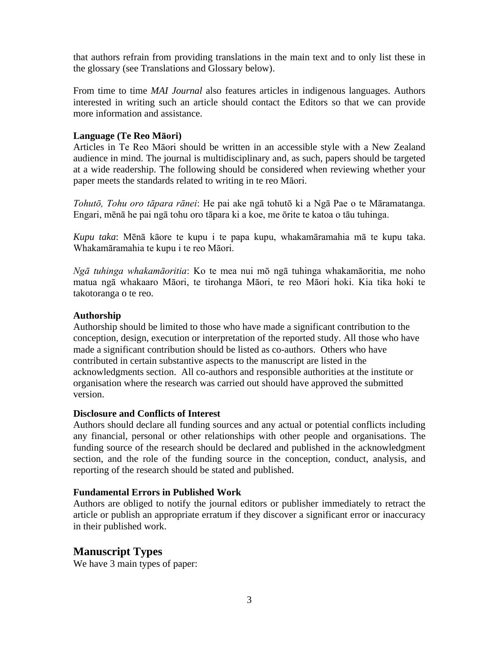that authors refrain from providing translations in the main text and to only list these in the glossary (see Translations and Glossary below).

From time to time *MAI Journal* also features articles in indigenous languages. Authors interested in writing such an article should contact the Editors so that we can provide more information and assistance.

# **Language (Te Reo Māori)**

Articles in Te Reo Māori should be written in an accessible style with a New Zealand audience in mind. The journal is multidisciplinary and, as such, papers should be targeted at a wide readership. The following should be considered when reviewing whether your paper meets the standards related to writing in te reo Māori.

*Tohutō, Tohu oro tāpara rānei*: He pai ake ngā tohutō ki a Ngā Pae o te Māramatanga. Engari, mēnā he pai ngā tohu oro tāpara ki a koe, me ōrite te katoa o tāu tuhinga.

*Kupu taka*: Mēnā kāore te kupu i te papa kupu, whakamāramahia mā te kupu taka. Whakamāramahia te kupu i te reo Māori.

*Ngā tuhinga whakamāoritia*: Ko te mea nui mō ngā tuhinga whakamāoritia, me noho matua ngā whakaaro Māori, te tirohanga Māori, te reo Māori hoki. Kia tika hoki te takotoranga o te reo.

### **Authorship**

Authorship should be limited to those who have made a significant contribution to the conception, design, execution or interpretation of the reported study. All those who have made a significant contribution should be listed as co-authors. Others who have contributed in certain substantive aspects to the manuscript are listed in the acknowledgments section. All co-authors and responsible authorities at the institute or organisation where the research was carried out should have approved the submitted version.

#### **Disclosure and Conflicts of Interest**

Authors should declare all funding sources and any actual or potential conflicts including any financial, personal or other relationships with other people and organisations. The funding source of the research should be declared and published in the acknowledgment section, and the role of the funding source in the conception, conduct, analysis, and reporting of the research should be stated and published.

# **Fundamental Errors in Published Work**

Authors are obliged to notify the journal editors or publisher immediately to retract the article or publish an appropriate erratum if they discover a significant error or inaccuracy in their published work.

# **Manuscript Types**

We have 3 main types of paper: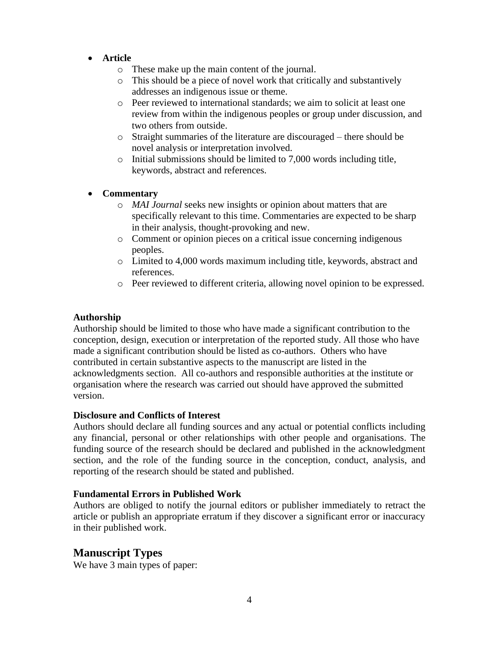- **Article**
	- o These make up the main content of the journal.
	- o This should be a piece of novel work that critically and substantively addresses an indigenous issue or theme.
	- o Peer reviewed to international standards; we aim to solicit at least one review from within the indigenous peoples or group under discussion, and two others from outside.
	- o Straight summaries of the literature are discouraged there should be novel analysis or interpretation involved.
	- o Initial submissions should be limited to 7,000 words including title, keywords, abstract and references.

### • **Commentary**

- o *MAI Journal* seeks new insights or opinion about matters that are specifically relevant to this time. Commentaries are expected to be sharp in their analysis, thought-provoking and new.
- o Comment or opinion pieces on a critical issue concerning indigenous peoples.
- o Limited to 4,000 words maximum including title, keywords, abstract and references.
- o Peer reviewed to different criteria, allowing novel opinion to be expressed.

#### **Authorship**

Authorship should be limited to those who have made a significant contribution to the conception, design, execution or interpretation of the reported study. All those who have made a significant contribution should be listed as co-authors. Others who have contributed in certain substantive aspects to the manuscript are listed in the acknowledgments section. All co-authors and responsible authorities at the institute or organisation where the research was carried out should have approved the submitted version.

#### **Disclosure and Conflicts of Interest**

Authors should declare all funding sources and any actual or potential conflicts including any financial, personal or other relationships with other people and organisations. The funding source of the research should be declared and published in the acknowledgment section, and the role of the funding source in the conception, conduct, analysis, and reporting of the research should be stated and published.

#### **Fundamental Errors in Published Work**

Authors are obliged to notify the journal editors or publisher immediately to retract the article or publish an appropriate erratum if they discover a significant error or inaccuracy in their published work.

# **Manuscript Types**

We have 3 main types of paper: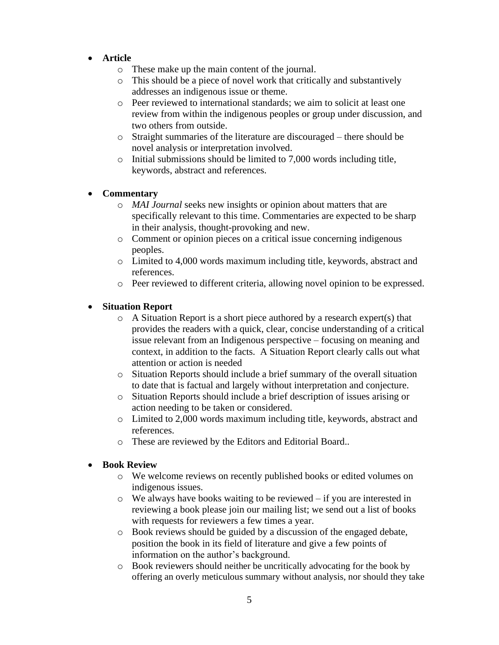- **Article**
	- o These make up the main content of the journal.
	- o This should be a piece of novel work that critically and substantively addresses an indigenous issue or theme.
	- o Peer reviewed to international standards; we aim to solicit at least one review from within the indigenous peoples or group under discussion, and two others from outside.
	- o Straight summaries of the literature are discouraged there should be novel analysis or interpretation involved.
	- o Initial submissions should be limited to 7,000 words including title, keywords, abstract and references.

### • **Commentary**

- o *MAI Journal* seeks new insights or opinion about matters that are specifically relevant to this time. Commentaries are expected to be sharp in their analysis, thought-provoking and new.
- o Comment or opinion pieces on a critical issue concerning indigenous peoples.
- o Limited to 4,000 words maximum including title, keywords, abstract and references.
- o Peer reviewed to different criteria, allowing novel opinion to be expressed.

### • **Situation Report**

- o A Situation Report is a short piece authored by a research expert(s) that provides the readers with a quick, clear, concise understanding of a critical issue relevant from an Indigenous perspective – focusing on meaning and context, in addition to the facts. A Situation Report clearly calls out what attention or action is needed
- o Situation Reports should include a brief summary of the overall situation to date that is factual and largely without interpretation and conjecture.
- o Situation Reports should include a brief description of issues arising or action needing to be taken or considered.
- o Limited to 2,000 words maximum including title, keywords, abstract and references.
- o These are reviewed by the Editors and Editorial Board..

#### • **Book Review**

- o We welcome reviews on recently published books or edited volumes on indigenous issues.
- o We always have books waiting to be reviewed if you are interested in reviewing a book please join our mailing list; we send out a list of books with requests for reviewers a few times a year.
- o Book reviews should be guided by a discussion of the engaged debate, position the book in its field of literature and give a few points of information on the author's background.
- o Book reviewers should neither be uncritically advocating for the book by offering an overly meticulous summary without analysis, nor should they take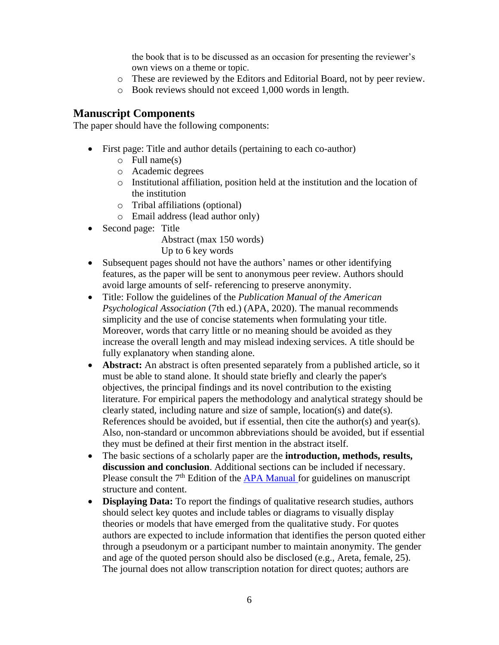the book that is to be discussed as an occasion for presenting the reviewer's own views on a theme or topic.

- o These are reviewed by the Editors and Editorial Board, not by peer review.
- o Book reviews should not exceed 1,000 words in length.

# **Manuscript Components**

The paper should have the following components:

- First page: Title and author details (pertaining to each co-author)
	- $\circ$  Full name(s)
	- o Academic degrees
	- o Institutional affiliation, position held at the institution and the location of the institution
	- o Tribal affiliations (optional)
	- o Email address (lead author only)
- Second page: Title
	- Abstract (max 150 words) Up to 6 key words
- Subsequent pages should not have the authors' names or other identifying features, as the paper will be sent to anonymous peer review. Authors should avoid large amounts of self- referencing to preserve anonymity.
- Title: Follow the guidelines of the *Publication Manual of the American Psychological Association* (7th ed.) (APA, 2020). The manual recommends simplicity and the use of concise statements when formulating your title. Moreover, words that carry little or no meaning should be avoided as they increase the overall length and may mislead indexing services. A title should be fully explanatory when standing alone.
- **Abstract:** An abstract is often presented separately from a published article, so it must be able to stand alone. It should state briefly and clearly the paper's objectives, the principal findings and its novel contribution to the existing literature. For empirical papers the methodology and analytical strategy should be clearly stated, including nature and size of sample, location(s) and date(s). References should be avoided, but if essential, then cite the author(s) and year(s). Also, non-standard or uncommon abbreviations should be avoided, but if essential they must be defined at their first mention in the abstract itself.
- The basic sections of a scholarly paper are the **introduction, methods, results, discussion and conclusion**. Additional sections can be included if necessary. Please consult the  $7<sup>th</sup>$  Edition of the  $APA$  Manual for guidelines on manuscript structure and content.
- **Displaying Data:** To report the findings of qualitative research studies, authors should select key quotes and include tables or diagrams to visually display theories or models that have emerged from the qualitative study. For quotes authors are expected to include information that identifies the person quoted either through a pseudonym or a participant number to maintain anonymity. The gender and age of the quoted person should also be disclosed (e.g., Areta, female, 25). The journal does not allow transcription notation for direct quotes; authors are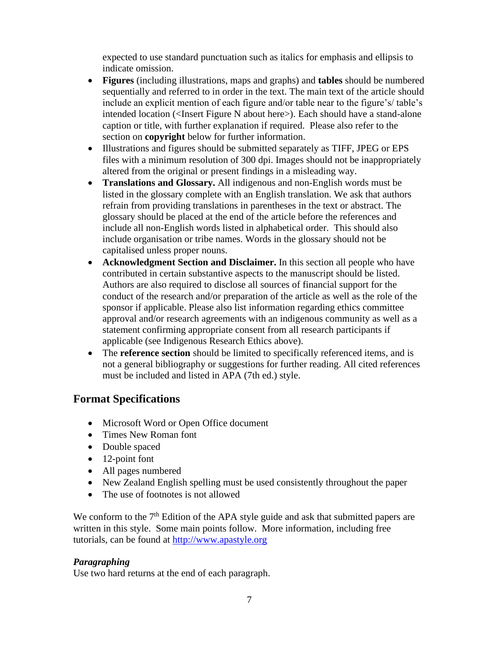expected to use standard punctuation such as italics for emphasis and ellipsis to indicate omission.

- **Figures** (including illustrations, maps and graphs) and **tables** should be numbered sequentially and referred to in order in the text. The main text of the article should include an explicit mention of each figure and/or table near to the figure's/ table's intended location (<Insert Figure N about here>). Each should have a stand-alone caption or title, with further explanation if required. Please also refer to the section on **copyright** below for further information.
- Illustrations and figures should be submitted separately as TIFF, JPEG or EPS files with a minimum resolution of 300 dpi. Images should not be inappropriately altered from the original or present findings in a misleading way.
- **Translations and Glossary.** All indigenous and non-English words must be listed in the glossary complete with an English translation. We ask that authors refrain from providing translations in parentheses in the text or abstract. The glossary should be placed at the end of the article before the references and include all non-English words listed in alphabetical order. This should also include organisation or tribe names. Words in the glossary should not be capitalised unless proper nouns.
- **Acknowledgment Section and Disclaimer.** In this section all people who have contributed in certain substantive aspects to the manuscript should be listed. Authors are also required to disclose all sources of financial support for the conduct of the research and/or preparation of the article as well as the role of the sponsor if applicable. Please also list information regarding ethics committee approval and/or research agreements with an indigenous community as well as a statement confirming appropriate consent from all research participants if applicable (see Indigenous Research Ethics above).
- The **reference section** should be limited to specifically referenced items, and is not a general bibliography or suggestions for further reading. All cited references must be included and listed in APA (7th ed.) style.

# **Format Specifications**

- Microsoft Word or Open Office document
- Times New Roman font
- Double spaced
- 12-point font
- All pages numbered
- New Zealand English spelling must be used consistently throughout the paper
- The use of footnotes is not allowed

We conform to the  $7<sup>th</sup>$  Edition of the APA style guide and ask that submitted papers are written in this style. Some main points follow. More information, including free tutorials, can be found at [http://www.apastyle.org](http://www.apastyle.org/)

# *Paragraphing*

Use two hard returns at the end of each paragraph.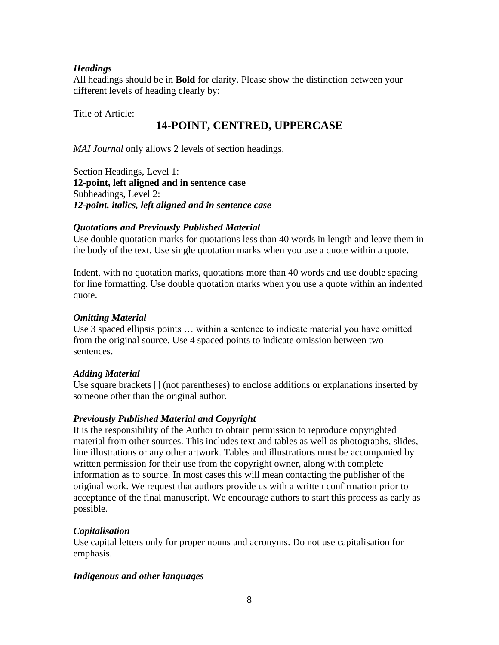# *Headings*

All headings should be in **Bold** for clarity. Please show the distinction between your different levels of heading clearly by:

Title of Article:

# **14-POINT, CENTRED, UPPERCASE**

*MAI Journal* only allows 2 levels of section headings.

Section Headings, Level 1: **12-point, left aligned and in sentence case** Subheadings, Level 2: *12-point, italics, left aligned and in sentence case*

### *Quotations and Previously Published Material*

Use double quotation marks for quotations less than 40 words in length and leave them in the body of the text. Use single quotation marks when you use a quote within a quote.

Indent, with no quotation marks, quotations more than 40 words and use double spacing for line formatting. Use double quotation marks when you use a quote within an indented quote.

# *Omitting Material*

Use 3 spaced ellipsis points … within a sentence to indicate material you have omitted from the original source. Use 4 spaced points to indicate omission between two sentences.

# *Adding Material*

Use square brackets [] (not parentheses) to enclose additions or explanations inserted by someone other than the original author.

# *Previously Published Material and Copyright*

It is the responsibility of the Author to obtain permission to reproduce copyrighted material from other sources. This includes text and tables as well as photographs, slides, line illustrations or any other artwork. Tables and illustrations must be accompanied by written permission for their use from the copyright owner, along with complete information as to source. In most cases this will mean contacting the publisher of the original work. We request that authors provide us with a written confirmation prior to acceptance of the final manuscript. We encourage authors to start this process as early as possible.

# *Capitalisation*

Use capital letters only for proper nouns and acronyms. Do not use capitalisation for emphasis.

# *Indigenous and other languages*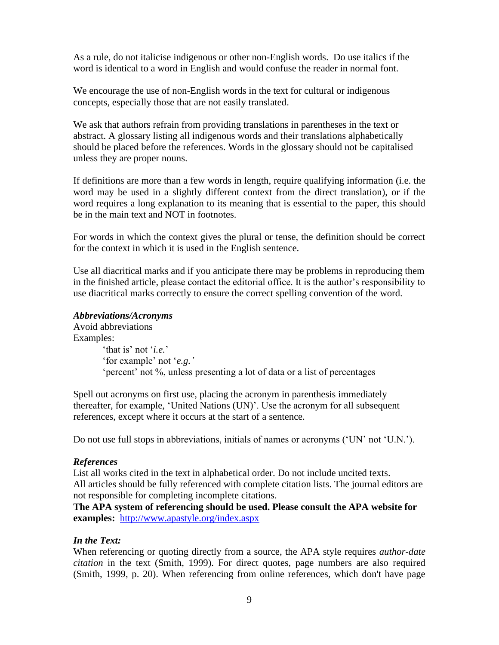As a rule, do not italicise indigenous or other non-English words. Do use italics if the word is identical to a word in English and would confuse the reader in normal font.

We encourage the use of non-English words in the text for cultural or indigenous concepts, especially those that are not easily translated.

We ask that authors refrain from providing translations in parentheses in the text or abstract. A glossary listing all indigenous words and their translations alphabetically should be placed before the references. Words in the glossary should not be capitalised unless they are proper nouns.

If definitions are more than a few words in length, require qualifying information (i.e. the word may be used in a slightly different context from the direct translation), or if the word requires a long explanation to its meaning that is essential to the paper, this should be in the main text and NOT in footnotes.

For words in which the context gives the plural or tense, the definition should be correct for the context in which it is used in the English sentence.

Use all diacritical marks and if you anticipate there may be problems in reproducing them in the finished article, please contact the editorial office. It is the author's responsibility to use diacritical marks correctly to ensure the correct spelling convention of the word.

### *Abbreviations/Acronyms*

Avoid abbreviations Examples: 'that is' not '*i.e.*' 'for example' not '*e.g.'* 'percent' not %, unless presenting a lot of data or a list of percentages

Spell out acronyms on first use, placing the acronym in parenthesis immediately thereafter, for example, 'United Nations (UN)'. Use the acronym for all subsequent references, except where it occurs at the start of a sentence.

Do not use full stops in abbreviations, initials of names or acronyms ('UN' not 'U.N.').

#### *References*

List all works cited in the text in alphabetical order. Do not include uncited texts. All articles should be fully referenced with complete citation lists. The journal editors are not responsible for completing incomplete citations.

**The APA system of referencing should be used. Please consult the APA website for examples:** <http://www.apastyle.org/index.aspx>

# *In the Text:*

When referencing or quoting directly from a source, the APA style requires *author-date citation* in the text (Smith, 1999). For direct quotes, page numbers are also required (Smith, 1999, p. 20). When referencing from online references, which don't have page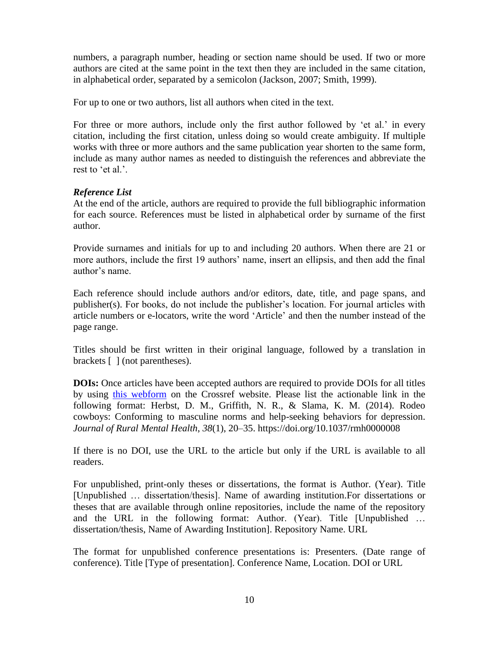numbers, a paragraph number, heading or section name should be used. If two or more authors are cited at the same point in the text then they are included in the same citation, in alphabetical order, separated by a semicolon (Jackson, 2007; Smith, 1999).

For up to one or two authors, list all authors when cited in the text.

For three or more authors, include only the first author followed by 'et al.' in every citation, including the first citation, unless doing so would create ambiguity. If multiple works with three or more authors and the same publication year shorten to the same form, include as many author names as needed to distinguish the references and abbreviate the rest to 'et al.'.

### *Reference List*

At the end of the article, authors are required to provide the full bibliographic information for each source. References must be listed in alphabetical order by surname of the first author.

Provide surnames and initials for up to and including 20 authors. When there are 21 or more authors, include the first 19 authors' name, insert an ellipsis, and then add the final author's name.

Each reference should include authors and/or editors, date, title, and page spans, and publisher(s). For books, do not include the publisher's location. For journal articles with article numbers or e-locators, write the word 'Article' and then the number instead of the page range.

Titles should be first written in their original language, followed by a translation in brackets [ ] (not parentheses).

**DOIs:** Once articles have been accepted authors are required to provide DOIs for all titles by using [this webform](http://www.crossref.org/SimpleTextQuery) on the Crossref website. Please list the actionable link in the following format: Herbst, D. M., Griffith, N. R., & Slama, K. M. (2014). Rodeo cowboys: Conforming to masculine norms and help-seeking behaviors for depression. *Journal of Rural Mental Health*, *38*(1), 20–35. https://doi.org/10.1037/rmh0000008

If there is no DOI, use the URL to the article but only if the URL is available to all readers.

For unpublished, print-only theses or dissertations, the format is Author. (Year). Title [Unpublished … dissertation/thesis]. Name of awarding institution.For dissertations or theses that are available through online repositories, include the name of the repository and the URL in the following format: Author. (Year). Title [Unpublished … dissertation/thesis, Name of Awarding Institution]. Repository Name. URL

The format for unpublished conference presentations is: Presenters. (Date range of conference). Title [Type of presentation]. Conference Name, Location. DOI or URL